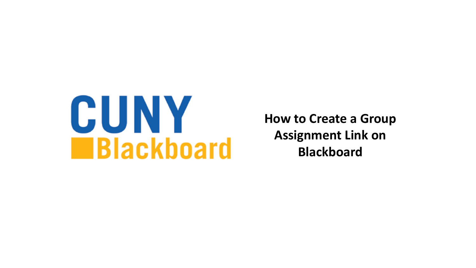

**How to Create a Group Assignment Link on Blackboard**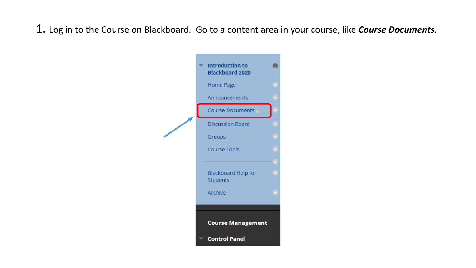1. Log in to the Course on Blackboard. Go to a content area in your course, like *Course Documents*.

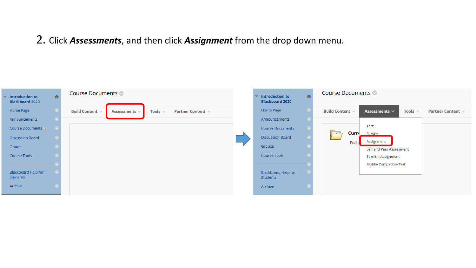## 2. Click *Assessments*, and then click *Assignment* from the drop down menu.

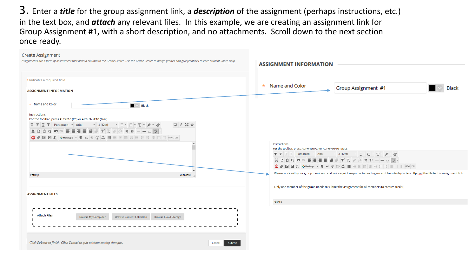3. Enter a *title* for the group assignment link, a *description* of the assignment (perhaps instructions, etc.) in the text box, and *attach* any relevant files. In this example, we are creating an assignment link for Group Assignment #1, with a short description, and no attachments. Scroll down to the next section once ready.

| <b>Create Assignment</b><br>Assignments are a form of assessment that adds a column to the Grade Center. Use the Grade Center to assign grades and give feedback to each student. More Help | <b>ASSIGNMENT INFORMATION</b>                                                                                                                                                                                                                                                                                                                                                                                                  |
|---------------------------------------------------------------------------------------------------------------------------------------------------------------------------------------------|--------------------------------------------------------------------------------------------------------------------------------------------------------------------------------------------------------------------------------------------------------------------------------------------------------------------------------------------------------------------------------------------------------------------------------|
| * Indicates a required field.                                                                                                                                                               |                                                                                                                                                                                                                                                                                                                                                                                                                                |
| <b>ASSIGNMENT INFORMATION</b>                                                                                                                                                               | * Name and Color<br>Group Assignment #1<br>Black                                                                                                                                                                                                                                                                                                                                                                               |
| * Name and Color<br>$\blacksquare$ $\triangleright$ Black                                                                                                                                   |                                                                                                                                                                                                                                                                                                                                                                                                                                |
| Instructions<br>For the toolbar, press ALT+F10 (PC) or ALT+FN+F10 (Mac).                                                                                                                    |                                                                                                                                                                                                                                                                                                                                                                                                                                |
| $Q_i$ $X \times$<br>T T T F Paragraph - Arial - 3 (12pt) - $\equiv$ - $\equiv$ - $\Gamma$ - $\sim$ - $\gg$                                                                                  |                                                                                                                                                                                                                                                                                                                                                                                                                                |
|                                                                                                                                                                                             |                                                                                                                                                                                                                                                                                                                                                                                                                                |
|                                                                                                                                                                                             |                                                                                                                                                                                                                                                                                                                                                                                                                                |
|                                                                                                                                                                                             | Instructions<br>For the toolbar, press ALT+F10 (PC) or ALT+FN+F10 (Mac).                                                                                                                                                                                                                                                                                                                                                       |
|                                                                                                                                                                                             |                                                                                                                                                                                                                                                                                                                                                                                                                                |
|                                                                                                                                                                                             | $\mathbb{X} \Box \Box \Box \mathsf{Q} \Box \mathsf{Q} \Box \mathsf{Q} \Box \mathsf{Q} \mathsf{Q} \mathsf{Q} \mathsf{Q} \mathsf{Q} \mathsf{Q} \mathsf{Q} \mathsf{Q} \mathsf{Q} \mathsf{Q} \mathsf{Q} \mathsf{Q} \mathsf{Q} \mathsf{Q} \mathsf{Q} \mathsf{Q} \mathsf{Q} \mathsf{Q} \mathsf{Q} \mathsf{Q} \mathsf{Q} \mathsf{Q} \mathsf{Q} \mathsf{Q} \mathsf{Q} \mathsf{Q} \mathsf{Q} \mathsf{Q} \mathsf{Q} \mathsf{Q} \mathsf{$ |
|                                                                                                                                                                                             |                                                                                                                                                                                                                                                                                                                                                                                                                                |
| Words:0<br>Path: p                                                                                                                                                                          | Please work with your group members, and write a joint response to reading excerpt from today's class. Upload the file to this assignment link.                                                                                                                                                                                                                                                                                |
|                                                                                                                                                                                             | Only one member of the group needs to submit the assignment for all members to receive credit.                                                                                                                                                                                                                                                                                                                                 |
| <b>ASSIGNMENT FILES</b>                                                                                                                                                                     |                                                                                                                                                                                                                                                                                                                                                                                                                                |
|                                                                                                                                                                                             | Path: p                                                                                                                                                                                                                                                                                                                                                                                                                        |
|                                                                                                                                                                                             |                                                                                                                                                                                                                                                                                                                                                                                                                                |
| <b>Attach Files</b><br><b>Browse My Computer</b><br><b>Browse Content Collection</b><br><b>Browse Cloud Storage</b>                                                                         |                                                                                                                                                                                                                                                                                                                                                                                                                                |
|                                                                                                                                                                                             |                                                                                                                                                                                                                                                                                                                                                                                                                                |
|                                                                                                                                                                                             |                                                                                                                                                                                                                                                                                                                                                                                                                                |
|                                                                                                                                                                                             |                                                                                                                                                                                                                                                                                                                                                                                                                                |
| Click Submit to finish. Click Cancel to quit without saving changes.<br>Cancel<br>Submit                                                                                                    |                                                                                                                                                                                                                                                                                                                                                                                                                                |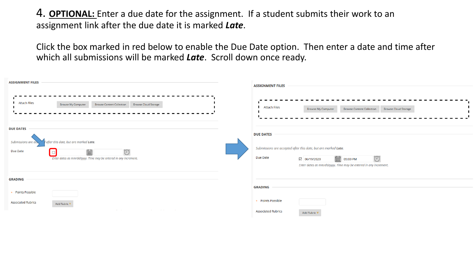4. **OPTIONAL:** Enter a due date for the assignment. If a student submits their work to an assignment link after the due date it is marked *Late*.

Click the box marked in red below to enable the Due Date option. Then enter a date and time after which all submissions will be marked *Late*. Scroll down once ready.

| <b>ASSIGNMENT FILES</b>                                                                                                                                                                       | <b>ASSIGNMENT FILES</b>                                                                                                                                                                                                                                      |
|-----------------------------------------------------------------------------------------------------------------------------------------------------------------------------------------------|--------------------------------------------------------------------------------------------------------------------------------------------------------------------------------------------------------------------------------------------------------------|
| <b>Attach Files</b><br><b>Browse Cloud Storage</b><br><b>Browse Content Collection</b><br><b>Browse My Computer</b>                                                                           | <b>Attach Files</b><br><b>Browse Content Collection</b><br><b>Browse My Computer</b><br><b>Browse Cloud Storage</b>                                                                                                                                          |
| <b>DUE DATES</b><br>after this date, but are marked Late.<br>Submissions are act<br>$\bigcirc$<br>Due Date<br>E<br>$\Box$<br>Enter dates as mm/dd/yyyy. Time may be entered in any increment. | <b>DUE DATES</b><br>Submissions are accepted after this date, but are marked Late.<br>$\bigcirc$<br>Due Date<br>$\begin{bmatrix} 0 & 0 \\ \hline \end{bmatrix}$ 05:00 PM<br>◎ 06/19/2020<br>Enter dates as mm/dd/yyyy. Time may be entered in any increment. |
| <b>GRADING</b>                                                                                                                                                                                |                                                                                                                                                                                                                                                              |
| * Points Possible                                                                                                                                                                             | <b>GRADING</b>                                                                                                                                                                                                                                               |
| <b>Associated Rubrics</b><br>Add Rubric <sup>₩</sup><br><b>Service</b><br><b>Contractor</b><br><b>Contractor</b><br><b>Contractor</b>                                                         | * Points Possible<br><b>Associated Rubrics</b><br>Add Rubric <sup>¥</sup>                                                                                                                                                                                    |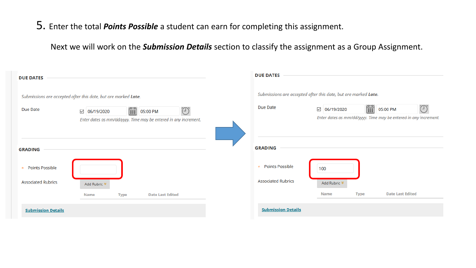5. Enter the total *Points Possible* a student can earn for completing this assignment.

Next we will work on the *Submission Details* section to classify the assignment as a Group Assignment.

| <b>DUE DATES</b>                                               |                                                                                          |             |                         |            | <b>DUE DATES</b>                                               |              |                         |             |                         |                                                                                    |
|----------------------------------------------------------------|------------------------------------------------------------------------------------------|-------------|-------------------------|------------|----------------------------------------------------------------|--------------|-------------------------|-------------|-------------------------|------------------------------------------------------------------------------------|
| Submissions are accepted after this date, but are marked Late. |                                                                                          |             |                         |            | Submissions are accepted after this date, but are marked Late. |              |                         |             |                         |                                                                                    |
| Due Date                                                       | $\boxed{06/19/2020}$<br>Enter dates as mm/dd/yyyy. Time may be entered in any increment. | F           | 05:00 PM                | $\bigcirc$ | Due Date                                                       | $\checkmark$ | 06/19/2020              | <b>FOR</b>  | 05:00 PM                | $\overline{L}$<br>Enter dates as mm/dd/yyyy. Time may be entered in any increment. |
| <b>GRADING</b>                                                 |                                                                                          |             |                         |            | <b>GRADING</b>                                                 |              |                         |             |                         |                                                                                    |
| <b>Points Possible</b>                                         |                                                                                          |             |                         |            | Points Possible<br>$\star$                                     |              | 100                     |             |                         |                                                                                    |
| <b>Associated Rubrics</b>                                      | Add Rubric <sup>₩</sup>                                                                  |             |                         |            | <b>Associated Rubrics</b>                                      |              | Add Rubric <sup>₩</sup> |             |                         |                                                                                    |
|                                                                | Name                                                                                     | <b>Type</b> | <b>Date Last Edited</b> |            |                                                                |              | <b>Name</b>             | <b>Type</b> | <b>Date Last Edited</b> |                                                                                    |
| <b>Submission Details</b>                                      |                                                                                          |             |                         |            | <b>Submission Details</b>                                      |              |                         |             |                         |                                                                                    |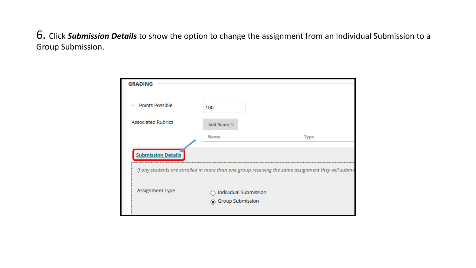6. Click *Submission Details* to show the option to change the assignment from an Individual Submission to a Group Submission.

| <b>GRADING</b>             |                         |                                                                                                    |
|----------------------------|-------------------------|----------------------------------------------------------------------------------------------------|
|                            |                         |                                                                                                    |
| Points Possible<br>$\star$ | 100                     |                                                                                                    |
|                            |                         |                                                                                                    |
| <b>Associated Rubrics</b>  | Add Rubric <sup>₹</sup> |                                                                                                    |
|                            | <b>Name</b>             | <b>Type</b>                                                                                        |
|                            |                         |                                                                                                    |
| <b>Submission Details</b>  |                         |                                                                                                    |
|                            |                         | If any students are enrolled in more than one group receiving the same assignment they will submit |
|                            |                         |                                                                                                    |
| Assignment Type            | Individual Submission   |                                                                                                    |
|                            | ◉ Group Submission      |                                                                                                    |
|                            |                         |                                                                                                    |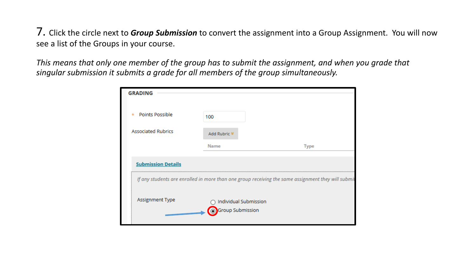7. Click the circle next to *Group Submission* to convert the assignment into a Group Assignment. You will now see a list of the Groups in your course.

*This means that only one member of the group has to submit the assignment, and when you grade that singular submission it submits a grade for all members of the group simultaneously.* 

| <b>GRADING</b>                                                                                     |                                           |             |  |  |  |  |  |
|----------------------------------------------------------------------------------------------------|-------------------------------------------|-------------|--|--|--|--|--|
| Points Possible<br>$\star$                                                                         | 100                                       |             |  |  |  |  |  |
| <b>Associated Rubrics</b>                                                                          | Add Rubric <sup>₹</sup>                   |             |  |  |  |  |  |
|                                                                                                    | <b>Name</b>                               | <b>Type</b> |  |  |  |  |  |
| <b>Submission Details</b>                                                                          |                                           |             |  |  |  |  |  |
| If any students are enrolled in more than one group receiving the same assignment they will submit |                                           |             |  |  |  |  |  |
| Assignment Type                                                                                    | Individual Submission<br>Group Submission |             |  |  |  |  |  |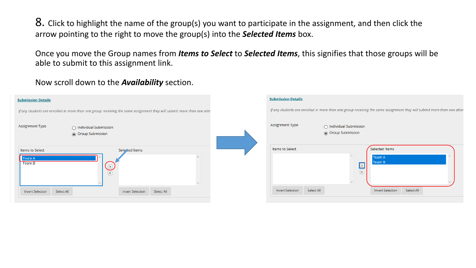8. Click to highlight the name of the group(s) you want to participate in the assignment, and then click the arrow pointing to the right to move the group(s) into the *Selected Items* box.

Once you move the Group names from *Items to Select* to *Selected Items*, this signifies that those groups will be able to submit to this assignment link.

## Now scroll down to the *Availability* section.

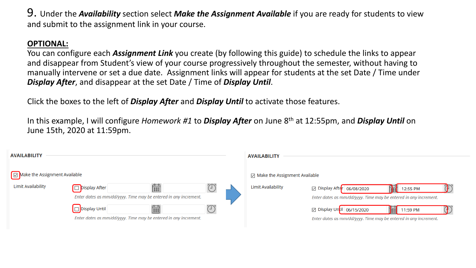9. Under the *Availability* section select *Make the Assignment Available* if you are ready for students to view and submit to the assignment link in your course.

## **OPTIONAL:**

You can configure each *Assignment Link* you create (by following this guide) to schedule the links to appear and disappear from Student's view of your course progressively throughout the semester, without having to manually intervene or set a due date. Assignment links will appear for students at the set Date / Time under *Display After*, and disappear at the set Date / Time of *Display Until*.

Click the boxes to the left of *Display After* and *Display Until* to activate those features.

In this example, I will configure *Homework #1* to *Display After* on June 8th at 12:55pm, and *Display Until* on June 15th, 2020 at 11:59pm.

| <b>AVAILABILITY</b>           |                                                                                   |            |  | <b>AVAILABILITY</b>                     |                                                                                                                                                                                                                                                                                                                                                              |
|-------------------------------|-----------------------------------------------------------------------------------|------------|--|-----------------------------------------|--------------------------------------------------------------------------------------------------------------------------------------------------------------------------------------------------------------------------------------------------------------------------------------------------------------------------------------------------------------|
| Make the Assignment Available |                                                                                   |            |  | $\boxdot$ Make the Assignment Available |                                                                                                                                                                                                                                                                                                                                                              |
| <b>Limit Availability</b>     | Display After<br>Enter dates as mm/dd/yyyy. Time may be entered in any increment. | f          |  | <b>Limit Availability</b>               | ⊠ Display Afte <mark>r</mark>   06/08/2020<br>the second second the second second in the second second in the second second in the second second in the second second in the second second in the second second in the second second in the second second in the second seco<br>12:55 PM<br>Enter dates as mm/dd/yyyy. Time may be entered in any increment. |
|                               | Display Until<br>Enter dates as mm/dd/yyyy. Time may be entered in any increment. | <b>BBB</b> |  |                                         | □ Display Until 06/15/2020<br>THE<br>11:59 PM<br>Enter dates as mm/dd/yyyy. Time may be entered in any increment.                                                                                                                                                                                                                                            |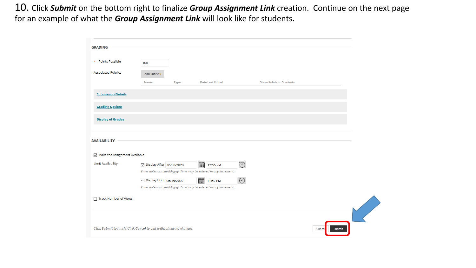10. Click *Submit* on the bottom right to finalize *Group Assignment Link* creation. Continue on the next page for an example of what the *Group Assignment Link* will look like for students.

| <b>GRADING</b>                                                       |                            |             |                                                                  |                            |                                |                  |  |
|----------------------------------------------------------------------|----------------------------|-------------|------------------------------------------------------------------|----------------------------|--------------------------------|------------------|--|
| * Points Possible                                                    |                            |             |                                                                  |                            |                                |                  |  |
|                                                                      | 100                        |             |                                                                  |                            |                                |                  |  |
| <b>Associated Rubrics</b>                                            | Add Rubric $*$             |             |                                                                  |                            |                                |                  |  |
|                                                                      | <b>Name</b>                | <b>Type</b> | <b>Date Last Edited</b>                                          |                            | <b>Show Rubric to Students</b> |                  |  |
| <b>Submission Details</b>                                            |                            |             |                                                                  |                            |                                |                  |  |
|                                                                      |                            |             |                                                                  |                            |                                |                  |  |
| <b>Grading Options</b>                                               |                            |             |                                                                  |                            |                                |                  |  |
| <b>Display of Grades</b>                                             |                            |             |                                                                  |                            |                                |                  |  |
|                                                                      |                            |             |                                                                  |                            |                                |                  |  |
| <b>AVAILABILITY</b>                                                  |                            |             |                                                                  |                            |                                |                  |  |
| Make the Assignment Available                                        |                            |             |                                                                  |                            |                                |                  |  |
| <b>Limit Availability</b>                                            | ○ Display After 06/08/2020 |             | <b>FOR</b><br>12:55 PM                                           | $\bigcirc$                 |                                |                  |  |
|                                                                      |                            |             | Enter dates as mm/dd/yyyy. Time may be entered in any increment. |                            |                                |                  |  |
|                                                                      | ○ Display Until 06/15/2020 |             | <b>FOR</b><br>11:59 PM                                           | $\widehat{\left(1\right)}$ |                                |                  |  |
|                                                                      |                            |             | Enter dates as mm/dd/yyyy. Time may be entered in any increment. |                            |                                |                  |  |
| □ Track Number of Views                                              |                            |             |                                                                  |                            |                                |                  |  |
|                                                                      |                            |             |                                                                  |                            |                                |                  |  |
|                                                                      |                            |             |                                                                  |                            |                                |                  |  |
| Click Submit to finish. Click Cancel to quit without saving changes. |                            |             |                                                                  |                            |                                | Submit<br>Cancel |  |
|                                                                      |                            |             |                                                                  |                            |                                |                  |  |